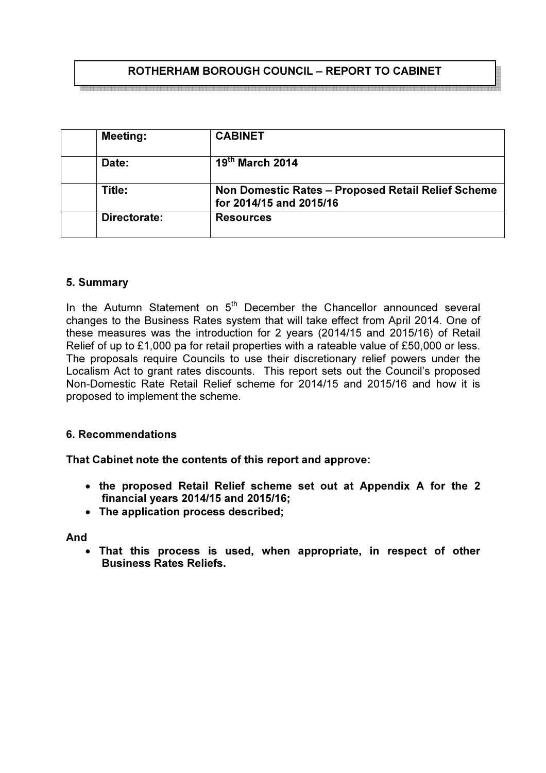## ROTHERHAM BOROUGH COUNCIL – REPORT TO CABINET

| <b>Meeting:</b> | <b>CABINET</b>                                                                |  |  |
|-----------------|-------------------------------------------------------------------------------|--|--|
| Date:           | $19th$ March 2014                                                             |  |  |
| Title:          | Non Domestic Rates - Proposed Retail Relief Scheme<br>for 2014/15 and 2015/16 |  |  |
| Directorate:    | <b>Resources</b>                                                              |  |  |

#### 5. Summary

In the Autumn Statement on  $5<sup>th</sup>$  December the Chancellor announced several changes to the Business Rates system that will take effect from April 2014. One of these measures was the introduction for 2 years (2014/15 and 2015/16) of Retail Relief of up to £1,000 pa for retail properties with a rateable value of £50,000 or less. The proposals require Councils to use their discretionary relief powers under the Localism Act to grant rates discounts. This report sets out the Council's proposed Non-Domestic Rate Retail Relief scheme for 2014/15 and 2015/16 and how it is proposed to implement the scheme.

#### 6. Recommendations

That Cabinet note the contents of this report and approve:

- the proposed Retail Relief scheme set out at Appendix A for the 2 financial years 2014/15 and 2015/16;
- The application process described;

And

• That this process is used, when appropriate, in respect of other Business Rates Reliefs.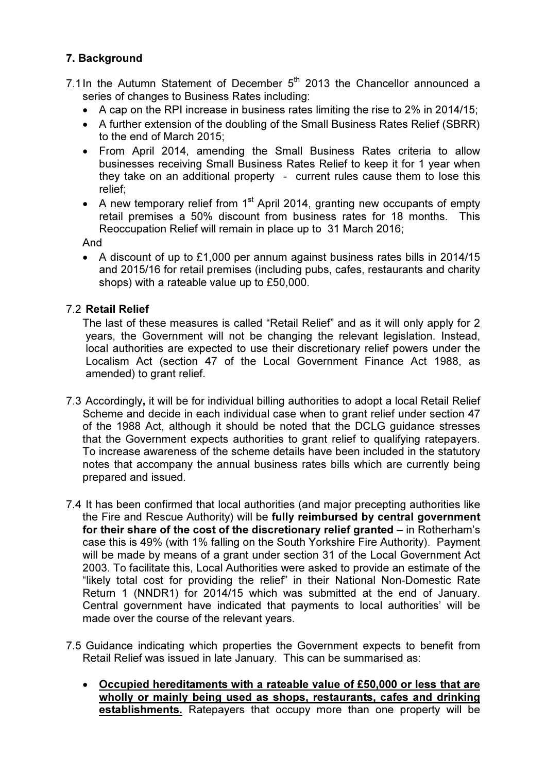## 7. Background

- 7.1 In the Autumn Statement of December  $5<sup>th</sup>$  2013 the Chancellor announced a series of changes to Business Rates including:
	- A cap on the RPI increase in business rates limiting the rise to 2% in 2014/15;
	- A further extension of the doubling of the Small Business Rates Relief (SBRR) to the end of March 2015;
	- From April 2014, amending the Small Business Rates criteria to allow businesses receiving Small Business Rates Relief to keep it for 1 year when they take on an additional property - current rules cause them to lose this relief;
	- A new temporary relief from  $1<sup>st</sup>$  April 2014, granting new occupants of empty retail premises a 50% discount from business rates for 18 months. This Reoccupation Relief will remain in place up to 31 March 2016;

And

• A discount of up to £1,000 per annum against business rates bills in 2014/15 and 2015/16 for retail premises (including pubs, cafes, restaurants and charity shops) with a rateable value up to £50,000.

## 7.2 Retail Relief

The last of these measures is called "Retail Relief" and as it will only apply for 2 years, the Government will not be changing the relevant legislation. Instead, local authorities are expected to use their discretionary relief powers under the Localism Act (section 47 of the Local Government Finance Act 1988, as amended) to grant relief.

- 7.3 Accordingly, it will be for individual billing authorities to adopt a local Retail Relief Scheme and decide in each individual case when to grant relief under section 47 of the 1988 Act, although it should be noted that the DCLG guidance stresses that the Government expects authorities to grant relief to qualifying ratepayers. To increase awareness of the scheme details have been included in the statutory notes that accompany the annual business rates bills which are currently being prepared and issued.
- 7.4 It has been confirmed that local authorities (and major precepting authorities like the Fire and Rescue Authority) will be fully reimbursed by central government for their share of the cost of the discretionary relief granted – in Rotherham's case this is 49% (with 1% falling on the South Yorkshire Fire Authority). Payment will be made by means of a grant under section 31 of the Local Government Act 2003. To facilitate this, Local Authorities were asked to provide an estimate of the "likely total cost for providing the relief" in their National Non-Domestic Rate Return 1 (NNDR1) for 2014/15 which was submitted at the end of January. Central government have indicated that payments to local authorities' will be made over the course of the relevant years.
- 7.5 Guidance indicating which properties the Government expects to benefit from Retail Relief was issued in late January. This can be summarised as:
	- Occupied hereditaments with a rateable value of £50,000 or less that are wholly or mainly being used as shops, restaurants, cafes and drinking establishments. Ratepayers that occupy more than one property will be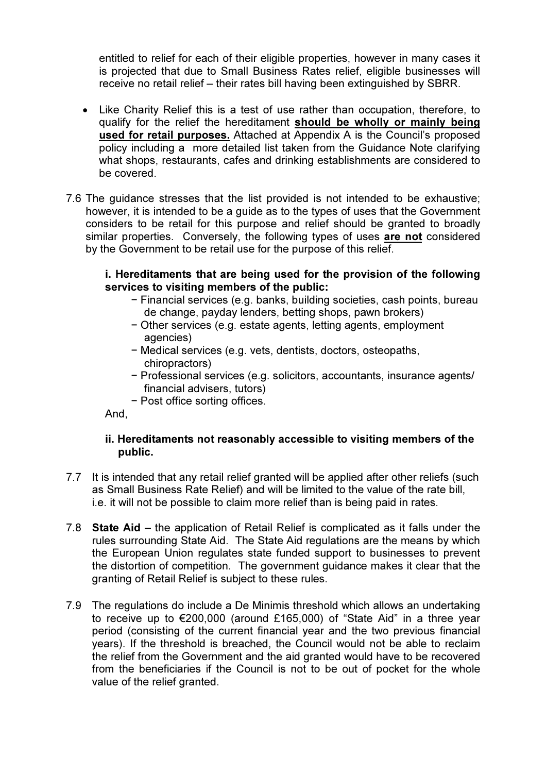entitled to relief for each of their eligible properties, however in many cases it is projected that due to Small Business Rates relief, eligible businesses will receive no retail relief – their rates bill having been extinguished by SBRR.

- Like Charity Relief this is a test of use rather than occupation, therefore, to qualify for the relief the hereditament should be wholly or mainly being used for retail purposes. Attached at Appendix A is the Council's proposed policy including a more detailed list taken from the Guidance Note clarifying what shops, restaurants, cafes and drinking establishments are considered to be covered.
- 7.6 The guidance stresses that the list provided is not intended to be exhaustive; however, it is intended to be a guide as to the types of uses that the Government considers to be retail for this purpose and relief should be granted to broadly similar properties. Conversely, the following types of uses are not considered by the Government to be retail use for the purpose of this relief.

#### i. Hereditaments that are being used for the provision of the following services to visiting members of the public:

- − Financial services (e.g. banks, building societies, cash points, bureau de change, payday lenders, betting shops, pawn brokers)
- − Other services (e.g. estate agents, letting agents, employment agencies)
- − Medical services (e.g. vets, dentists, doctors, osteopaths, chiropractors)
- − Professional services (e.g. solicitors, accountants, insurance agents/ financial advisers, tutors)
- − Post office sorting offices.

And,

#### ii. Hereditaments not reasonably accessible to visiting members of the public.

- 7.7 It is intended that any retail relief granted will be applied after other reliefs (such as Small Business Rate Relief) and will be limited to the value of the rate bill, i.e. it will not be possible to claim more relief than is being paid in rates.
- 7.8 State Aid the application of Retail Relief is complicated as it falls under the rules surrounding State Aid. The State Aid regulations are the means by which the European Union regulates state funded support to businesses to prevent the distortion of competition. The government guidance makes it clear that the granting of Retail Relief is subject to these rules.
- 7.9 The regulations do include a De Minimis threshold which allows an undertaking to receive up to €200,000 (around £165,000) of "State Aid" in a three year period (consisting of the current financial year and the two previous financial years). If the threshold is breached, the Council would not be able to reclaim the relief from the Government and the aid granted would have to be recovered from the beneficiaries if the Council is not to be out of pocket for the whole value of the relief granted.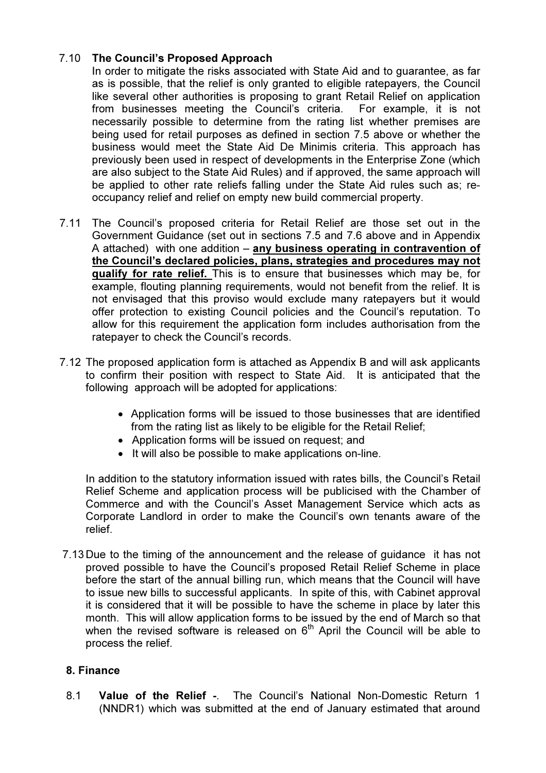## 7.10 The Council's Proposed Approach

In order to mitigate the risks associated with State Aid and to guarantee, as far as is possible, that the relief is only granted to eligible ratepayers, the Council like several other authorities is proposing to grant Retail Relief on application from businesses meeting the Council's criteria. For example, it is not necessarily possible to determine from the rating list whether premises are being used for retail purposes as defined in section 7.5 above or whether the business would meet the State Aid De Minimis criteria. This approach has previously been used in respect of developments in the Enterprise Zone (which are also subject to the State Aid Rules) and if approved, the same approach will be applied to other rate reliefs falling under the State Aid rules such as; reoccupancy relief and relief on empty new build commercial property.

- 7.11 The Council's proposed criteria for Retail Relief are those set out in the Government Guidance (set out in sections 7.5 and 7.6 above and in Appendix A attached) with one addition – any business operating in contravention of the Council's declared policies, plans, strategies and procedures may not qualify for rate relief. This is to ensure that businesses which may be, for example, flouting planning requirements, would not benefit from the relief. It is not envisaged that this proviso would exclude many ratepayers but it would offer protection to existing Council policies and the Council's reputation. To allow for this requirement the application form includes authorisation from the ratepayer to check the Council's records.
- 7.12 The proposed application form is attached as Appendix B and will ask applicants to confirm their position with respect to State Aid. It is anticipated that the following approach will be adopted for applications:
	- Application forms will be issued to those businesses that are identified from the rating list as likely to be eligible for the Retail Relief;
	- Application forms will be issued on request; and
	- It will also be possible to make applications on-line.

In addition to the statutory information issued with rates bills, the Council's Retail Relief Scheme and application process will be publicised with the Chamber of Commerce and with the Council's Asset Management Service which acts as Corporate Landlord in order to make the Council's own tenants aware of the relief.

7.13 Due to the timing of the announcement and the release of guidance it has not proved possible to have the Council's proposed Retail Relief Scheme in place before the start of the annual billing run, which means that the Council will have to issue new bills to successful applicants. In spite of this, with Cabinet approval it is considered that it will be possible to have the scheme in place by later this month. This will allow application forms to be issued by the end of March so that when the revised software is released on  $6<sup>th</sup>$  April the Council will be able to process the relief.

## 8. Finance

8.1 Value of the Relief -. The Council's National Non-Domestic Return 1 (NNDR1) which was submitted at the end of January estimated that around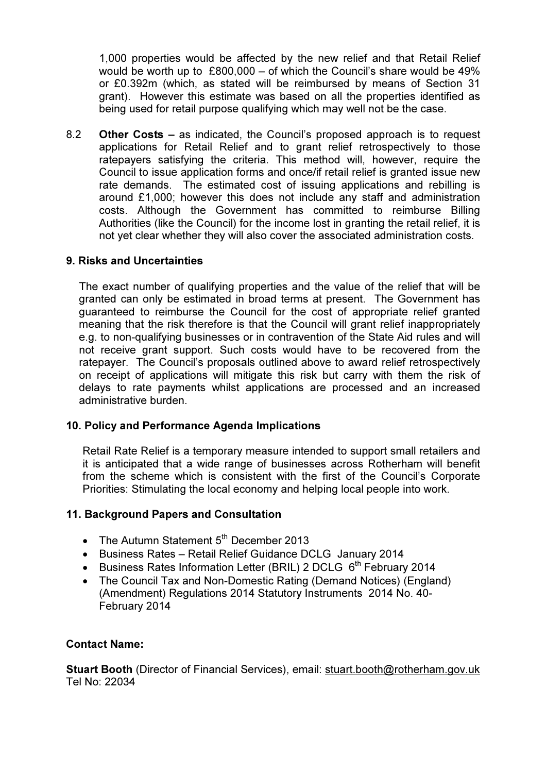1,000 properties would be affected by the new relief and that Retail Relief would be worth up to £800,000 – of which the Council's share would be 49% or £0.392m (which, as stated will be reimbursed by means of Section 31 grant). However this estimate was based on all the properties identified as being used for retail purpose qualifying which may well not be the case.

8.2 Other Costs – as indicated, the Council's proposed approach is to request applications for Retail Relief and to grant relief retrospectively to those ratepayers satisfying the criteria. This method will, however, require the Council to issue application forms and once/if retail relief is granted issue new rate demands. The estimated cost of issuing applications and rebilling is around £1,000; however this does not include any staff and administration costs. Although the Government has committed to reimburse Billing Authorities (like the Council) for the income lost in granting the retail relief, it is not yet clear whether they will also cover the associated administration costs.

#### 9. Risks and Uncertainties

 The exact number of qualifying properties and the value of the relief that will be granted can only be estimated in broad terms at present. The Government has guaranteed to reimburse the Council for the cost of appropriate relief granted meaning that the risk therefore is that the Council will grant relief inappropriately e.g. to non-qualifying businesses or in contravention of the State Aid rules and will not receive grant support. Such costs would have to be recovered from the ratepayer. The Council's proposals outlined above to award relief retrospectively on receipt of applications will mitigate this risk but carry with them the risk of delays to rate payments whilst applications are processed and an increased administrative burden.

#### 10. Policy and Performance Agenda Implications

Retail Rate Relief is a temporary measure intended to support small retailers and it is anticipated that a wide range of businesses across Rotherham will benefit from the scheme which is consistent with the first of the Council's Corporate Priorities: Stimulating the local economy and helping local people into work.

#### 11. Background Papers and Consultation

- The Autumn Statement  $5<sup>th</sup>$  December 2013
- Business Rates Retail Relief Guidance DCLG January 2014
- Business Rates Information Letter (BRIL) 2 DCLG  $6<sup>th</sup>$  February 2014
- The Council Tax and Non-Domestic Rating (Demand Notices) (England) (Amendment) Regulations 2014 Statutory Instruments 2014 No. 40- February 2014

#### Contact Name:

Stuart Booth (Director of Financial Services), email: stuart.booth@rotherham.gov.uk Tel No: 22034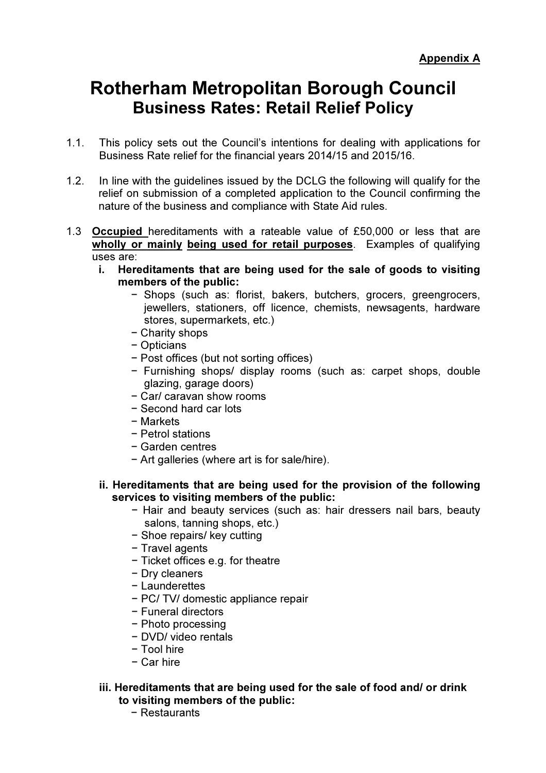# Rotherham Metropolitan Borough Council Business Rates: Retail Relief Policy

- 1.1. This policy sets out the Council's intentions for dealing with applications for Business Rate relief for the financial years 2014/15 and 2015/16.
- 1.2. In line with the guidelines issued by the DCLG the following will qualify for the relief on submission of a completed application to the Council confirming the nature of the business and compliance with State Aid rules.
- 1.3 Occupied hereditaments with a rateable value of £50,000 or less that are wholly or mainly being used for retail purposes. Examples of qualifying uses are:
	- i. Hereditaments that are being used for the sale of goods to visiting members of the public:
		- − Shops (such as: florist, bakers, butchers, grocers, greengrocers, jewellers, stationers, off licence, chemists, newsagents, hardware stores, supermarkets, etc.)
		- − Charity shops
		- − Opticians
		- − Post offices (but not sorting offices)
		- − Furnishing shops/ display rooms (such as: carpet shops, double glazing, garage doors)
		- − Car/ caravan show rooms
		- − Second hard car lots
		- − Markets
		- − Petrol stations
		- − Garden centres
		- − Art galleries (where art is for sale/hire).

#### ii. Hereditaments that are being used for the provision of the following services to visiting members of the public:

- − Hair and beauty services (such as: hair dressers nail bars, beauty salons, tanning shops, etc.)
- − Shoe repairs/ key cutting
- − Travel agents
- − Ticket offices e.g. for theatre
- − Dry cleaners
- − Launderettes
- − PC/ TV/ domestic appliance repair
- − Funeral directors
- − Photo processing
- − DVD/ video rentals
- − Tool hire
- − Car hire

#### iii. Hereditaments that are being used for the sale of food and/ or drink to visiting members of the public:

− Restaurants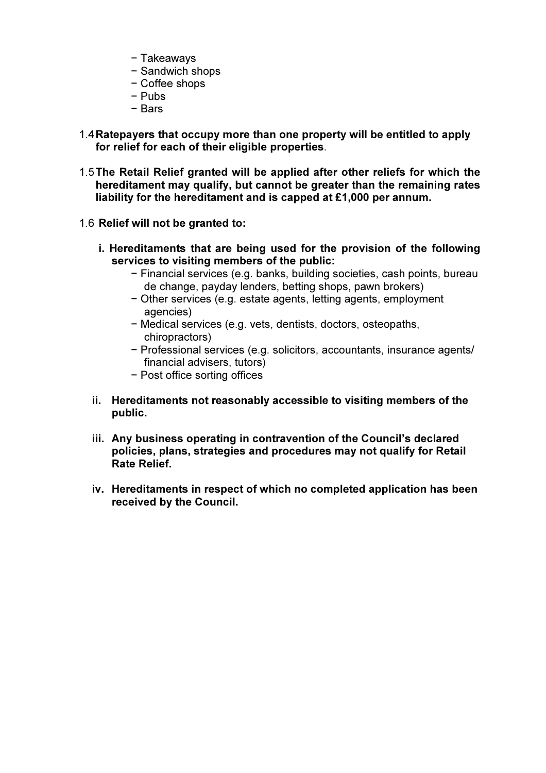- − Takeaways
- − Sandwich shops
- − Coffee shops
- − Pubs
- − Bars
- 1.4 Ratepayers that occupy more than one property will be entitled to apply for relief for each of their eligible properties.
- 1.5 The Retail Relief granted will be applied after other reliefs for which the hereditament may qualify, but cannot be greater than the remaining rates liability for the hereditament and is capped at £1,000 per annum.
- 1.6 Relief will not be granted to:
	- i. Hereditaments that are being used for the provision of the following services to visiting members of the public:
		- − Financial services (e.g. banks, building societies, cash points, bureau de change, payday lenders, betting shops, pawn brokers)
		- − Other services (e.g. estate agents, letting agents, employment agencies)
		- − Medical services (e.g. vets, dentists, doctors, osteopaths, chiropractors)
		- − Professional services (e.g. solicitors, accountants, insurance agents/ financial advisers, tutors)
		- − Post office sorting offices
	- ii. Hereditaments not reasonably accessible to visiting members of the public.
	- iii. Any business operating in contravention of the Council's declared policies, plans, strategies and procedures may not qualify for Retail Rate Relief.
	- iv. Hereditaments in respect of which no completed application has been received by the Council.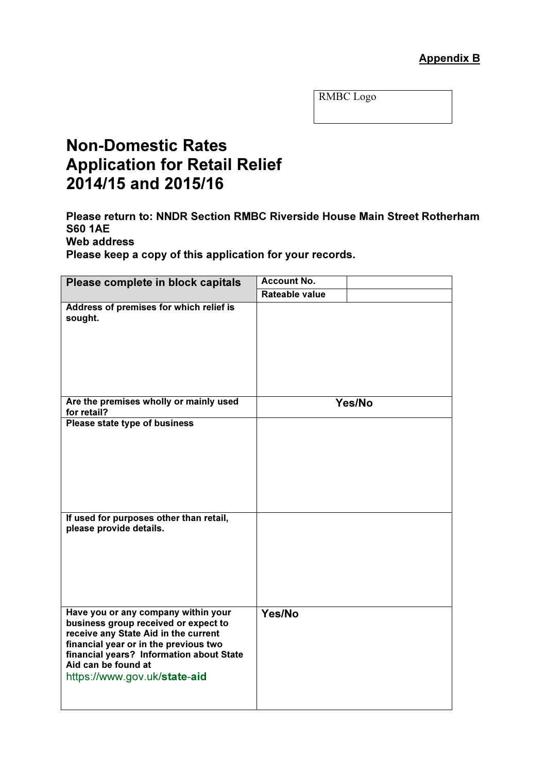RMBC Logo

## Non-Domestic Rates Application for Retail Relief 2014/15 and 2015/16

Please return to: NNDR Section RMBC Riverside House Main Street Rotherham S60 1AE Web address

Please keep a copy of this application for your records.

| Please complete in block capitals                                                                                                                                                                                                                               | <b>Account No.</b> |        |
|-----------------------------------------------------------------------------------------------------------------------------------------------------------------------------------------------------------------------------------------------------------------|--------------------|--------|
|                                                                                                                                                                                                                                                                 | Rateable value     |        |
| Address of premises for which relief is<br>sought.                                                                                                                                                                                                              |                    |        |
| Are the premises wholly or mainly used<br>for retail?                                                                                                                                                                                                           |                    | Yes/No |
| Please state type of business                                                                                                                                                                                                                                   |                    |        |
| If used for purposes other than retail,<br>please provide details.                                                                                                                                                                                              |                    |        |
| Have you or any company within your<br>business group received or expect to<br>receive any State Aid in the current<br>financial year or in the previous two<br>financial years? Information about State<br>Aid can be found at<br>https://www.gov.uk/state-aid | Yes/No             |        |